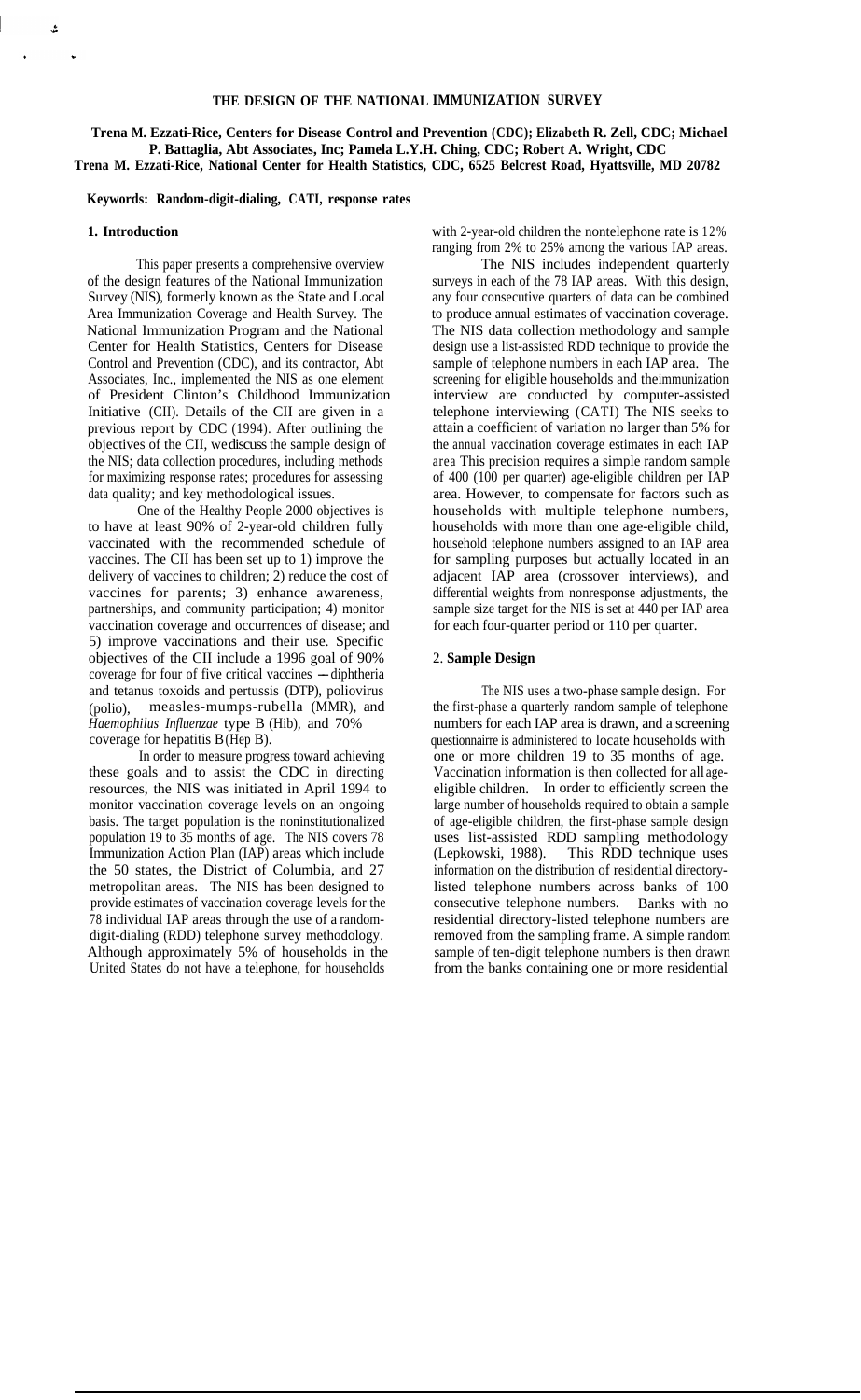## **THE DESIGN OF THE NATIONAL IMMUNIZATION SURVEY**

**Trena M. Ezzati-Rice, Centers for Disease Control and Prevention (CDC); Elizabeth R. Zell, CDC; Michael P. Battaglia, Abt Associates, Inc; Pamela L.Y.H. Ching, CDC; Robert A. Wright, CDC Trena M. Ezzati-Rice, National Center for Health Statistics, CDC, 6525 Belcrest Road, Hyattsville, MD 20782** 

### **Keywords: Random-digit-dialing, CATI, response rates**

#### **1. Introduction**

ؿ

This paper presents a comprehensive overview of the design features of the National Immunization Survey (NIS), formerly known as the State and Local Area Immunization Coverage and Health Survey. The National Immunization Program and the National Center for Health Statistics, Centers for Disease Control and Prevention (CDC), and its contractor, Abt Associates, Inc., implemented the NIS as one element of President Clinton's Childhood Immunization Initiative (CII). Details of the CII are given in a previous report by CDC (1994). After outlining the objectives of the CII, we discuss the sample design of the NIS; data collection procedures, including methods for maximizing response rates; procedures for assessing data quality; and key methodological issues.

One of the Healthy People 2000 objectives is to have at least 90% of 2-year-old children fully vaccinated with the recommended schedule of vaccines. The CII has been set up to 1) improve the delivery of vaccines to children; 2) reduce the cost of vaccines for parents; 3) enhance awareness, partnerships, and community participation; 4) monitor vaccination coverage and occurrences of disease; and 5) improve vaccinations and their use. Specific objectives of the CII include a 1996 goal of 90% coverage for four of five critical vaccines --diphtheria and tetanus toxoids and pertussis (DTP), poliovirus (polio), measles-mumps-rubella (MMR), and *Haemophilus Influenzae* type B (Hib), and 70% coverage for hepatitis B (Hep B).

In order to measure progress toward achieving these goals and to assist the CDC in directing resources, the NIS was initiated in April 1994 to monitor vaccination coverage levels on an ongoing basis. The target population is the noninstitutionalized population 19 to 35 months of age. The NIS covers 78 Immunization Action Plan (IAP) areas which include the 50 states, the District of Columbia, and 27 metropolitan areas. The NIS has been designed to provide estimates of vaccination coverage levels for the 78 individual IAP areas through the use of a randomdigit-dialing (RDD) telephone survey methodology. Although approximately 5% of households in the United States do not have a telephone, for households

with 2-year-old children the nontelephone rate is 12% ranging from 2% to 25% among the various IAP areas.

The NIS includes independent quarterly surveys in each of the 78 IAP areas. With this design, any four consecutive quarters of data can be combined to produce annual estimates of vaccination coverage. The NIS data collection methodology and sample design use a list-assisted RDD technique to provide the sample of telephone numbers in each IAP area. The screening for eligible households and theimmunization interview are conducted by computer-assisted telephone interviewing (CATI) The NIS seeks to attain a coefficient of variation no larger than 5% for the annual vaccination coverage estimates in each IAP area This precision requires a simple random sample of 400 (100 per quarter) age-eligible children per IAP area. However, to compensate for factors such as households with multiple telephone numbers, households with more than one age-eligible child, household telephone numbers assigned to an IAP area for sampling purposes but actually located in an adjacent IAP area (crossover interviews), and differential weights from nonresponse adjustments, the sample size target for the NIS is set at 440 per IAP area for each four-quarter period or 110 per quarter.

# 2. **Sample Design**

The NIS uses a two-phase sample design. For the first-phase a quarterly random sample of telephone numbers for each IAP area is drawn, and a screening questionnairre is administered to locate households with one or more children 19 to 35 months of age. Vaccination information is then collected for all ageeligible children. In order to efficiently screen the large number of households required to obtain a sample of age-eligible children, the first-phase sample design uses list-assisted RDD sampling methodology (Lepkowski, 1988). This RDD technique uses information on the distribution of residential directorylisted telephone numbers across banks of 100 consecutive telephone numbers. Banks with no residential directory-listed telephone numbers are removed from the sampling frame. A simple random sample of ten-digit telephone numbers is then drawn from the banks containing one or more residential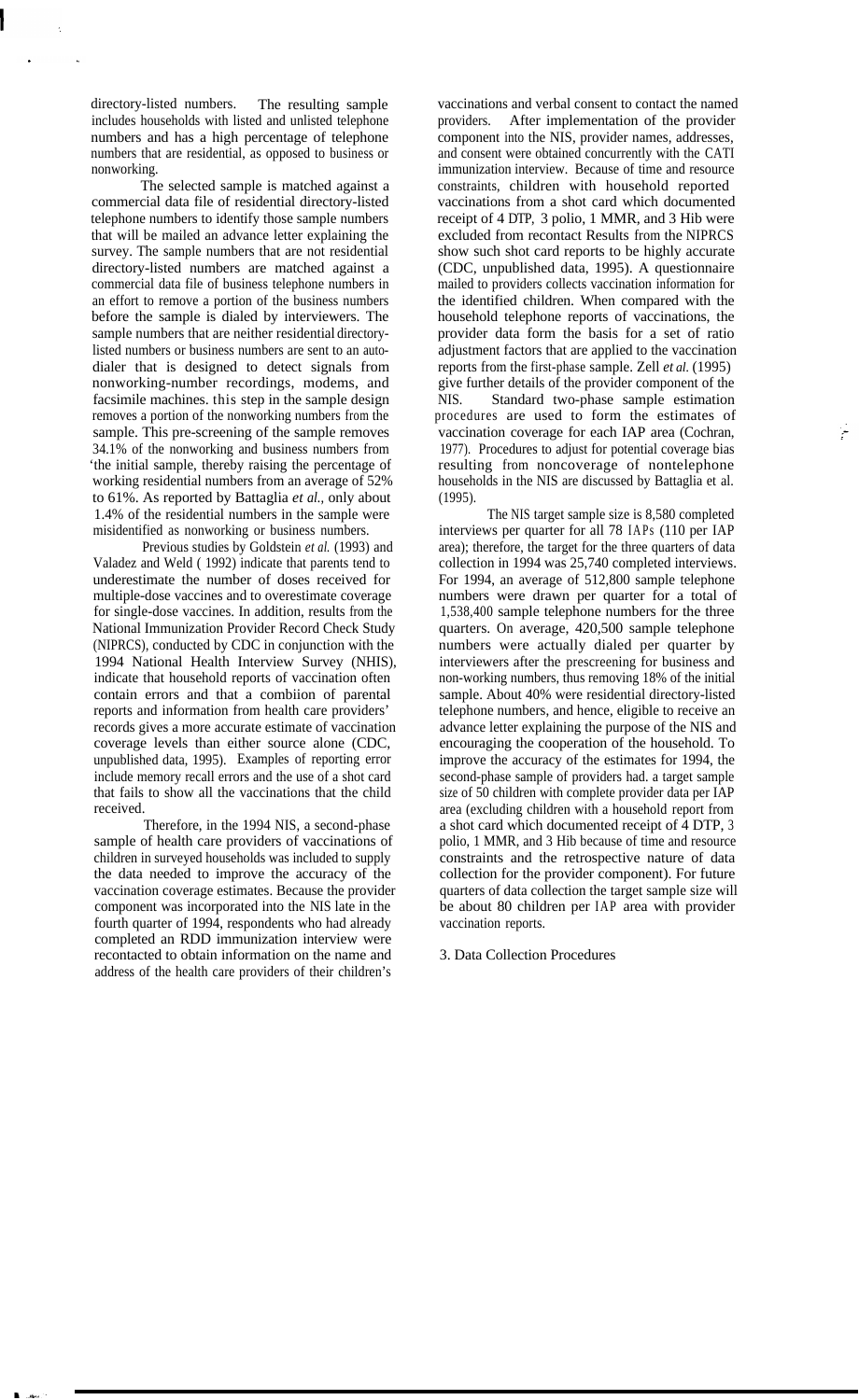directory-listed numbers. The resulting sample includes households with listed and unlisted telephone numbers and has a high percentage of telephone numbers that are residential, as opposed to business or nonworking.

The selected sample is matched against a commercial data file of residential directory-listed telephone numbers to identify those sample numbers that will be mailed an advance letter explaining the survey. The sample numbers that are not residential directory-listed numbers are matched against a commercial data file of business telephone numbers in an effort to remove a portion of the business numbers before the sample is dialed by interviewers. The sample numbers that are neither residential directorylisted numbers or business numbers are sent to an autodialer that is designed to detect signals from nonworking-number recordings, modems, and facsimile machines. this step in the sample design removes a portion of the nonworking numbers from the sample. This pre-screening of the sample removes 34.1% of the nonworking and business numbers from 'the initial sample, thereby raising the percentage of working residential numbers from an average of 52% to 61%. As reported by Battaglia *et al.,* only about 1.4% of the residential numbers in the sample were misidentified as nonworking or business numbers.

Previous studies by Goldstein *et al.* (1993) and Valadez and Weld ( 1992) indicate that parents tend to underestimate the number of doses received for multiple-dose vaccines and to overestimate coverage for single-dose vaccines. In addition, results from the National Immunization Provider Record Check Study (NIPRCS), conducted by CDC in conjunction with the 1994 National Health Interview Survey (NHIS), indicate that household reports of vaccination often contain errors and that a combiion of parental reports and information from health care providers' records gives a more accurate estimate of vaccination coverage levels than either source alone (CDC, unpublished data, 1995). Examples of reporting error include memory recall errors and the use of a shot card that fails to show all the vaccinations that the child received.

Therefore, in the 1994 NIS, a second-phase sample of health care providers of vaccinations of children in surveyed households was included to supply the data needed to improve the accuracy of the vaccination coverage estimates. Because the provider component was incorporated into the NIS late in the fourth quarter of 1994, respondents who had already completed an RDD immunization interview were recontacted to obtain information on the name and address of the health care providers of their children's

vaccinations and verbal consent to contact the named providers. After implementation of the provider component into the NIS, provider names, addresses, and consent were obtained concurrently with the CATI immunization interview. Because of time and resource constraints, children with household reported vaccinations from a shot card which documented receipt of 4 DTP, 3 polio, 1 MMR, and 3 Hib were excluded from recontact Results from the NIPRCS show such shot card reports to be highly accurate (CDC, unpublished data, 1995). A questionnaire mailed to providers collects vaccination information for the identified children. When compared with the household telephone reports of vaccinations, the provider data form the basis for a set of ratio adjustment factors that are applied to the vaccination reports from the first-phase sample. Zell *et al.* (1995) give further details of the provider component of the NIS. Standard two-phase sample estimation procedures are used to form the estimates of vaccination coverage for each IAP area (Cochran, 1977). Procedures to adjust for potential coverage bias resulting from noncoverage of nontelephone households in the NIS are discussed by Battaglia et al. (1995).

The NIS target sample size is 8,580 completed interviews per quarter for all 78 IAPs (110 per IAP area); therefore, the target for the three quarters of data collection in 1994 was 25,740 completed interviews. For 1994, an average of 512,800 sample telephone numbers were drawn per quarter for a total of 1,538,400 sample telephone numbers for the three quarters. On average, 420,500 sample telephone numbers were actually dialed per quarter by interviewers after the prescreening for business and non-working numbers, thus removing 18% of the initial sample. About 40% were residential directory-listed telephone numbers, and hence, eligible to receive an advance letter explaining the purpose of the NIS and encouraging the cooperation of the household. To improve the accuracy of the estimates for 1994, the second-phase sample of providers had. a target sample size of 50 children with complete provider data per IAP area (excluding children with a household report from a shot card which documented receipt of 4 DTP, 3 polio, 1 MMR, and 3 Hib because of time and resource constraints and the retrospective nature of data collection for the provider component). For future quarters of data collection the target sample size will be about 80 children per IAP area with provider vaccination reports.

### 3. Data Collection Procedures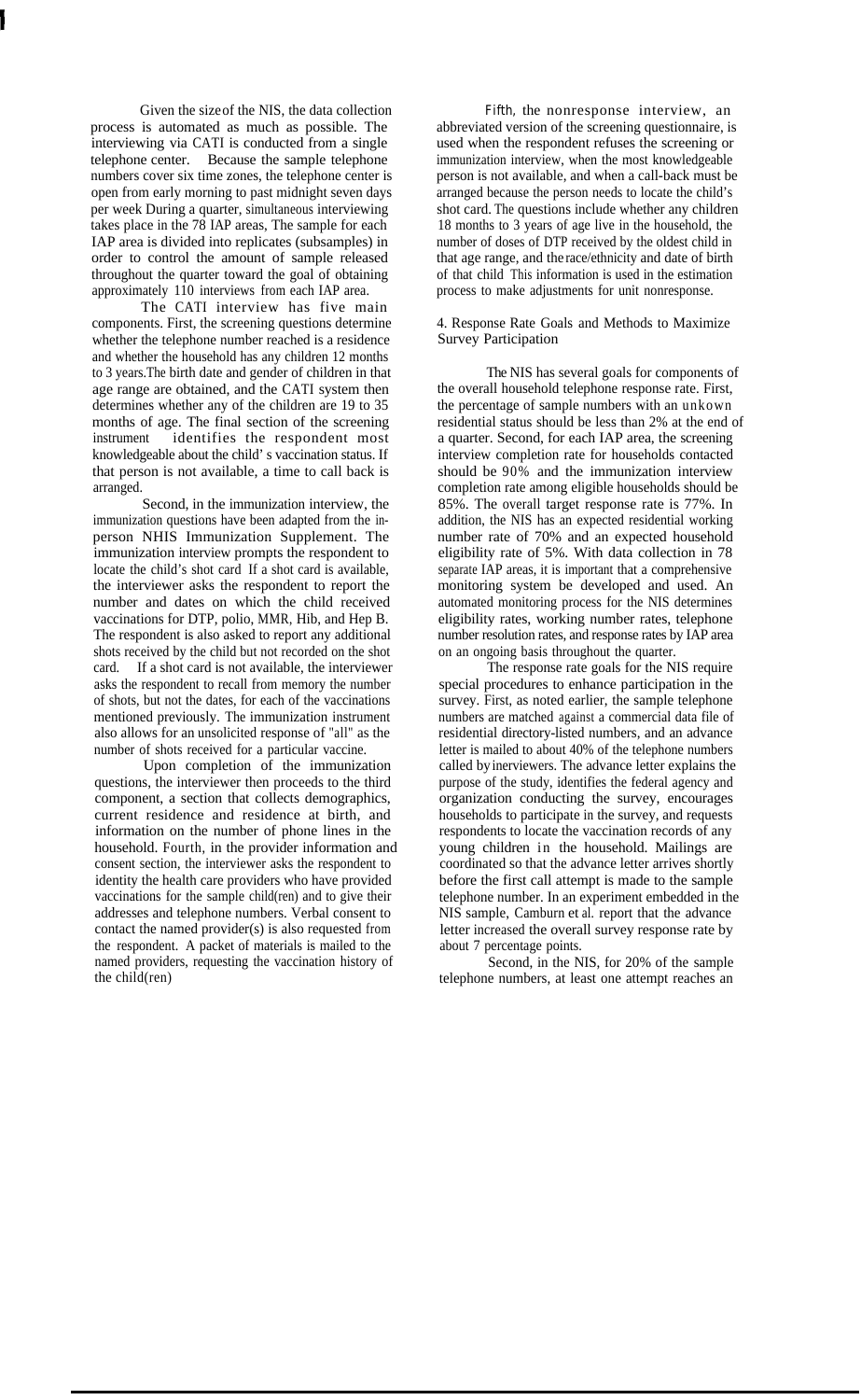Given the size of the NIS, the data collection process is automated as much as possible. The interviewing via CATI is conducted from a single telephone center. Because the sample telephone numbers cover six time zones, the telephone center is open from early morning to past midnight seven days per week During a quarter, simultaneous interviewing takes place in the 78 IAP areas, The sample for each IAP area is divided into replicates (subsamples) in order to control the amount of sample released throughout the quarter toward the goal of obtaining approximately 110 interviews from each IAP area.

The CATI interview has five main components. First, the screening questions determine whether the telephone number reached is a residence and whether the household has any children 12 months to 3 years.The birth date and gender of children in that age range are obtained, and the CATI system then determines whether any of the children are 19 to 35 months of age. The final section of the screening instrument identifies the respondent most knowledgeable about the child's vaccination status. If that person is not available, a time to call back is arranged.

Second, in the immunization interview, the immunization questions have been adapted from the inperson NHIS Immunization Supplement. The immunization interview prompts the respondent to locate the child's shot card If a shot card is available, the interviewer asks the respondent to report the number and dates on which the child received vaccinations for DTP, polio, MMR, Hib, and Hep B. The respondent is also asked to report any additional shots received by the child but not recorded on the shot card. If a shot card is not available, the interviewer asks the respondent to recall from memory the number of shots, but not the dates, for each of the vaccinations mentioned previously. The immunization instrument also allows for an unsolicited response of "all" as the number of shots received for a particular vaccine.

Upon completion of the immunization questions, the interviewer then proceeds to the third component, a section that collects demographics, current residence and residence at birth, and information on the number of phone lines in the household. Fourth, in the provider information and consent section, the interviewer asks the respondent to identity the health care providers who have provided vaccinations for the sample child(ren) and to give their addresses and telephone numbers. Verbal consent to contact the named provider(s) is also requested from the respondent. A packet of materials is mailed to the named providers, requesting the vaccination history of the child(ren)

Fifth, the nonresponse interview, an abbreviated version of the screening questionnaire, is used when the respondent refuses the screening or immunization interview, when the most knowledgeable person is not available, and when a call-back must be arranged because the person needs to locate the child's shot card. The questions include whether any children 18 months to 3 years of age live in the household, the number of doses of DTP received by the oldest child in that age range, and the race/ethnicity and date of birth of that child This information is used in the estimation process to make adjustments for unit nonresponse.

4. Response Rate Goals and Methods to Maximize Survey Participation

The NIS has several goals for components of the overall household telephone response rate. First, the percentage of sample numbers with an unkown residential status should be less than 2% at the end of a quarter. Second, for each IAP area, the screening interview completion rate for households contacted should be  $90\%$  and the immunization interview completion rate among eligible households should be 85%. The overall target response rate is 77%. In addition, the NIS has an expected residential working number rate of 70% and an expected household eligibility rate of 5%. With data collection in 78 separate IAP areas, it is important that a comprehensive monitoring system be developed and used. An automated monitoring process for the NIS determines eligibility rates, working number rates, telephone number resolution rates, and response rates by IAP area on an ongoing basis throughout the quarter.

The response rate goals for the NIS require special procedures to enhance participation in the survey. First, as noted earlier, the sample telephone numbers are matched against a commercial data file of residential directory-listed numbers, and an advance letter is mailed to about 40% of the telephone numbers called by inerviewers. The advance letter explains the purpose of the study, identifies the federal agency and organization conducting the survey, encourages households to participate in the survey, and requests respondents to locate the vaccination records of any young children in the household. Mailings are coordinated so that the advance letter arrives shortly before the first call attempt is made to the sample telephone number. In an experiment embedded in the NIS sample, Camburn et al. report that the advance letter increased the overall survey response rate by about 7 percentage points.

Second, in the NIS, for 20% of the sample telephone numbers, at least one attempt reaches an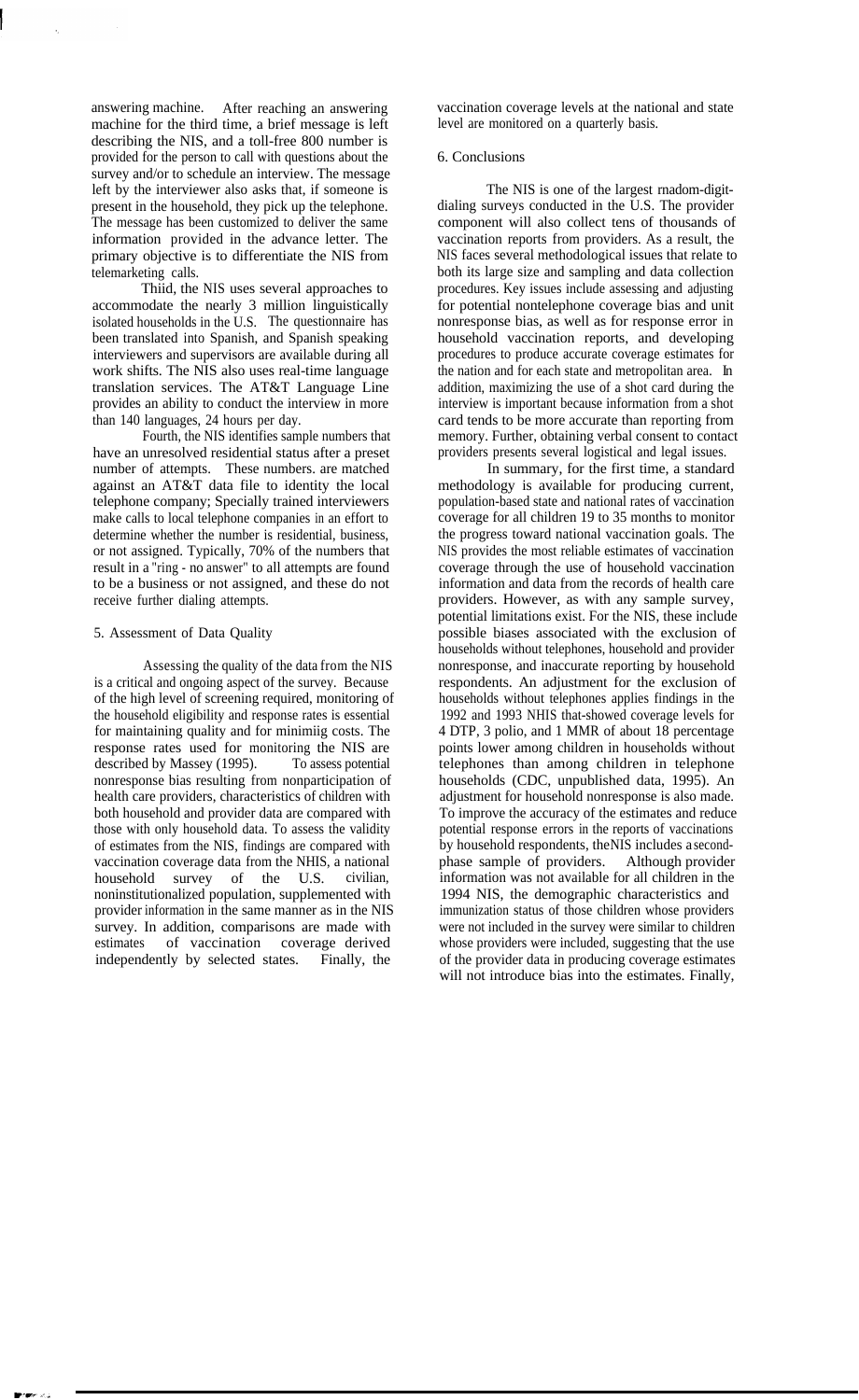answering machine. After reaching an answering machine for the third time, a brief message is left describing the NIS, and a toll-free 800 number is provided for the person to call with questions about the survey and/or to schedule an interview. The message left by the interviewer also asks that, if someone is present in the household, they pick up the telephone. The message has been customized to deliver the same information provided in the advance letter. The primary objective is to differentiate the NIS from telemarketing calls.

Thiid, the NIS uses several approaches to accommodate the nearly 3 million linguistically isolated households in the U.S. The questionnaire has been translated into Spanish, and Spanish speaking interviewers and supervisors are available during all work shifts. The NIS also uses real-time language translation services. The AT&T Language Line provides an ability to conduct the interview in more than 140 languages, 24 hours per day.

Fourth, the NIS identifies sample numbers that have an unresolved residential status after a preset number of attempts. These numbers. are matched against an AT&T data file to identity the local telephone company; Specially trained interviewers make calls to local telephone companies in an effort to determine whether the number is residential, business, or not assigned. Typically, 70% of the numbers that result in a "ring - no answer" to all attempts are found to be a business or not assigned, and these do not receive further dialing attempts.

## 5. Assessment of Data Quality

Assessing the quality of the data from the NIS is a critical and ongoing aspect of the survey. Because of the high level of screening required, monitoring of the household eligibility and response rates is essential for maintaining quality and for minimiig costs. The response rates used for monitoring the NIS are described by Massey (1995). To assess potential nonresponse bias resulting from nonparticipation of health care providers, characteristics of children with both household and provider data are compared with those with only household data. To assess the validity of estimates from the NIS, findings are compared with vaccination coverage data from the NHIS, a national household survey of the U.S. civilian, noninstitutionalized population, supplemented with provider information in the same manner as in the NIS survey. In addition, comparisons are made with estimates of vaccination coverage derived independently by selected states. Finally, the

vaccination coverage levels at the national and state level are monitored on a quarterly basis.

#### 6. Conclusions

The NIS is one of the largest rnadom-digitdialing surveys conducted in the U.S. The provider component will also collect tens of thousands of vaccination reports from providers. As a result, the NIS faces several methodological issues that relate to both its large size and sampling and data collection procedures. Key issues include assessing and adjusting for potential nontelephone coverage bias and unit nonresponse bias, as well as for response error in household vaccination reports, and developing procedures to produce accurate coverage estimates for the nation and for each state and metropolitan area. In addition, maximizing the use of a shot card during the interview is important because information from a shot card tends to be more accurate than reporting from memory. Further, obtaining verbal consent to contact providers presents several logistical and legal issues.

In summary, for the first time, a standard methodology is available for producing current, population-based state and national rates of vaccination coverage for all children 19 to 35 months to monitor the progress toward national vaccination goals. The NIS provides the most reliable estimates of vaccination coverage through the use of household vaccination information and data from the records of health care providers. However, as with any sample survey, potential limitations exist. For the NIS, these include possible biases associated with the exclusion of households without telephones, household and provider nonresponse, and inaccurate reporting by household respondents. An adjustment for the exclusion of households without telephones applies findings in the 1992 and 1993 NHIS that-showed coverage levels for 4 DTP, 3 polio, and 1 MMR of about 18 percentage points lower among children in households without telephones than among children in telephone households (CDC, unpublished data, 1995). An adjustment for household nonresponse is also made. To improve the accuracy of the estimates and reduce potential response errors in the reports of vaccinations by household respondents, the NIS includes a secondphase sample of providers. Although provider information was not available for all children in the 1994 NIS, the demographic characteristics and immunization status of those children whose providers were not included in the survey were similar to children whose providers were included, suggesting that the use of the provider data in producing coverage estimates will not introduce bias into the estimates. Finally,